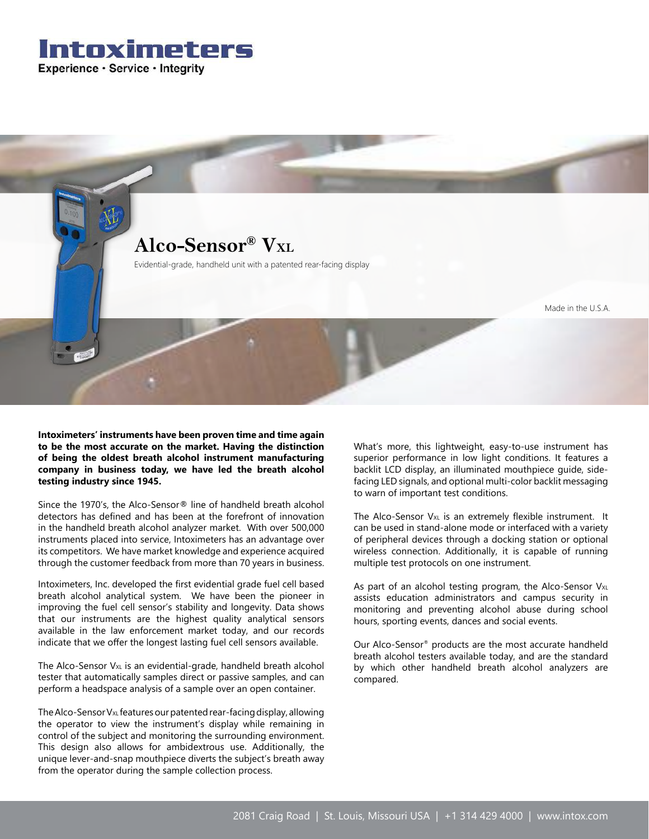



**Intoximeters' instruments have been proven time and time again to be the most accurate on the market. Having the distinction of being the oldest breath alcohol instrument manufacturing company in business today, we have led the breath alcohol testing industry since 1945.**

Since the 1970's, the Alco-Sensor® line of handheld breath alcohol detectors has defined and has been at the forefront of innovation in the handheld breath alcohol analyzer market. With over 500,000 instruments placed into service, Intoximeters has an advantage over its competitors. We have market knowledge and experience acquired through the customer feedback from more than 70 years in business.

Intoximeters, Inc. developed the first evidential grade fuel cell based breath alcohol analytical system. We have been the pioneer in improving the fuel cell sensor's stability and longevity. Data shows that our instruments are the highest quality analytical sensors available in the law enforcement market today, and our records indicate that we offer the longest lasting fuel cell sensors available.

The Alco-Sensor V<sub>xL</sub> is an evidential-grade, handheld breath alcohol tester that automatically samples direct or passive samples, and can perform a headspace analysis of a sample over an open container.

The Alco-Sensor V<sub>xL</sub> features our patented rear-facing display, allowing the operator to view the instrument's display while remaining in control of the subject and monitoring the surrounding environment. This design also allows for ambidextrous use. Additionally, the unique lever-and-snap mouthpiece diverts the subject's breath away from the operator during the sample collection process.

What's more, this lightweight, easy-to-use instrument has superior performance in low light conditions. It features a backlit LCD display, an illuminated mouthpiece guide, sidefacing LED signals, and optional multi-color backlit messaging to warn of important test conditions.

The Alco-Sensor  $V_{XL}$  is an extremely flexible instrument. It can be used in stand-alone mode or interfaced with a variety of peripheral devices through a docking station or optional wireless connection. Additionally, it is capable of running multiple test protocols on one instrument.

As part of an alcohol testing program, the Alco-Sensor  $V_{XL}$ assists education administrators and campus security in monitoring and preventing alcohol abuse during school hours, sporting events, dances and social events.

Our Alco-Sensor® products are the most accurate handheld breath alcohol testers available today, and are the standard by which other handheld breath alcohol analyzers are compared.